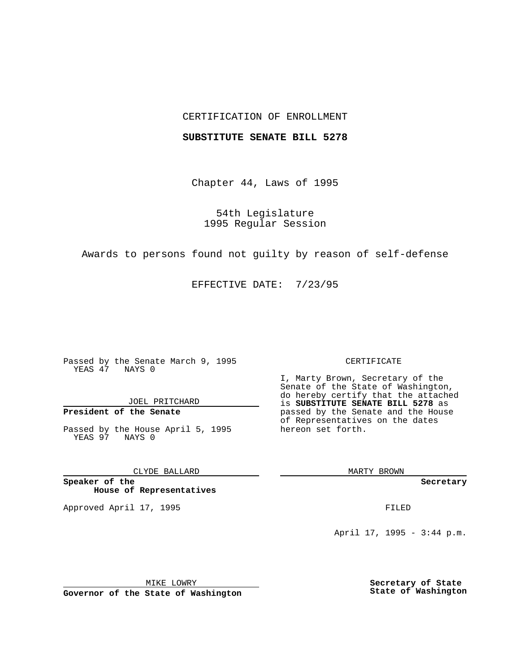## CERTIFICATION OF ENROLLMENT

## **SUBSTITUTE SENATE BILL 5278**

Chapter 44, Laws of 1995

54th Legislature 1995 Regular Session

Awards to persons found not guilty by reason of self-defense

EFFECTIVE DATE: 7/23/95

Passed by the Senate March 9, 1995 YEAS 47 NAYS 0

JOEL PRITCHARD

**President of the Senate**

Passed by the House April 5, 1995 YEAS 97 NAYS 0

CLYDE BALLARD

**Speaker of the House of Representatives**

Approved April 17, 1995 **FILED** 

#### CERTIFICATE

I, Marty Brown, Secretary of the Senate of the State of Washington, do hereby certify that the attached is **SUBSTITUTE SENATE BILL 5278** as passed by the Senate and the House of Representatives on the dates hereon set forth.

MARTY BROWN

**Secretary**

April 17, 1995 - 3:44 p.m.

MIKE LOWRY **Governor of the State of Washington** **Secretary of State State of Washington**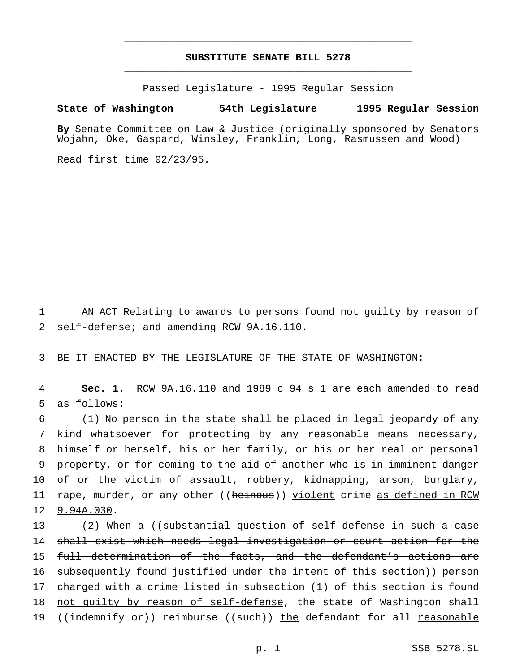# **SUBSTITUTE SENATE BILL 5278** \_\_\_\_\_\_\_\_\_\_\_\_\_\_\_\_\_\_\_\_\_\_\_\_\_\_\_\_\_\_\_\_\_\_\_\_\_\_\_\_\_\_\_\_\_\_\_

\_\_\_\_\_\_\_\_\_\_\_\_\_\_\_\_\_\_\_\_\_\_\_\_\_\_\_\_\_\_\_\_\_\_\_\_\_\_\_\_\_\_\_\_\_\_\_

Passed Legislature - 1995 Regular Session

## **State of Washington 54th Legislature 1995 Regular Session**

**By** Senate Committee on Law & Justice (originally sponsored by Senators Wojahn, Oke, Gaspard, Winsley, Franklin, Long, Rasmussen and Wood)

Read first time 02/23/95.

1 AN ACT Relating to awards to persons found not guilty by reason of 2 self-defense; and amending RCW 9A.16.110.

3 BE IT ENACTED BY THE LEGISLATURE OF THE STATE OF WASHINGTON:

4 **Sec. 1.** RCW 9A.16.110 and 1989 c 94 s 1 are each amended to read 5 as follows:

 (1) No person in the state shall be placed in legal jeopardy of any kind whatsoever for protecting by any reasonable means necessary, himself or herself, his or her family, or his or her real or personal property, or for coming to the aid of another who is in imminent danger of or the victim of assault, robbery, kidnapping, arson, burglary, 11 rape, murder, or any other ((heinous)) yiolent crime as defined in RCW 9.94A.030.

13 (2) When a ((<del>substantial question of self-defense in such a case</del> 14 shall exist which needs legal investigation or court action for the 15 full determination of the facts, and the defendant's actions are 16 subsequently found justified under the intent of this section)) person 17 charged with a crime listed in subsection (1) of this section is found 18 not quilty by reason of self-defense, the state of Washington shall 19 ((indemnify or)) reimburse ((such)) the defendant for all reasonable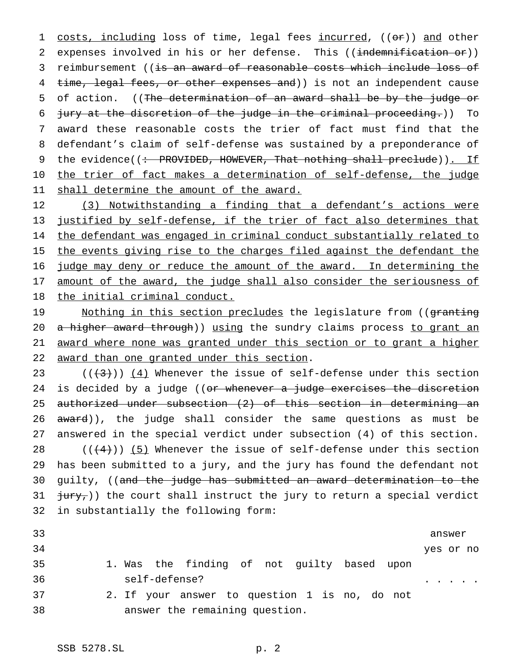1 costs, including loss of time, legal fees incurred, ((or)) and other 2 expenses involved in his or her defense. This ((indemnification or)) 3 reimbursement ((is an award of reasonable costs which include loss of 4 time, legal fees, or other expenses and)) is not an independent cause 5 of action. ((The determination of an award shall be by the judge or 6 jury at the discretion of the judge in the criminal proceeding.)) To 7 award these reasonable costs the trier of fact must find that the 8 defendant's claim of self-defense was sustained by a preponderance of 9 the evidence((: PROVIDED, HOWEVER, That nothing shall preclude)). If 10 the trier of fact makes a determination of self-defense, the judge 11 shall determine the amount of the award.

12 (3) Notwithstanding a finding that a defendant's actions were 13 justified by self-defense, if the trier of fact also determines that 14 the defendant was engaged in criminal conduct substantially related to 15 the events giving rise to the charges filed against the defendant the 16 judge may deny or reduce the amount of the award. In determining the 17 amount of the award, the judge shall also consider the seriousness of 18 the initial criminal conduct.

19 Mothing in this section precludes the legislature from ((granting 20 a higher award through)) using the sundry claims process to grant an 21 award where none was granted under this section or to grant a higher 22 award than one granted under this section.

 $((+3))$   $(4)$  Whenever the issue of self-defense under this section 24 is decided by a judge ((or whenever a judge exercises the discretion authorized under subsection (2) of this section in determining an 26 award)), the judge shall consider the same questions as must be answered in the special verdict under subsection (4) of this section.  $((+4))$  (5) Whenever the issue of self-defense under this section has been submitted to a jury, and the jury has found the defendant not 30 guilty, ((and the judge has submitted an award determination to the  $\frac{1}{1}$   $\frac{1}{1}$   $\frac{1}{1}$  the court shall instruct the jury to return a special verdict in substantially the following form:

| 33 |                                               | answer    |  |  |
|----|-----------------------------------------------|-----------|--|--|
| 34 |                                               | yes or no |  |  |
| 35 | 1. Was the finding of not guilty based upon   |           |  |  |
| 36 | self-defense?                                 |           |  |  |
| 37 | 2. If your answer to question 1 is no, do not |           |  |  |
| 38 | answer the remaining question.                |           |  |  |